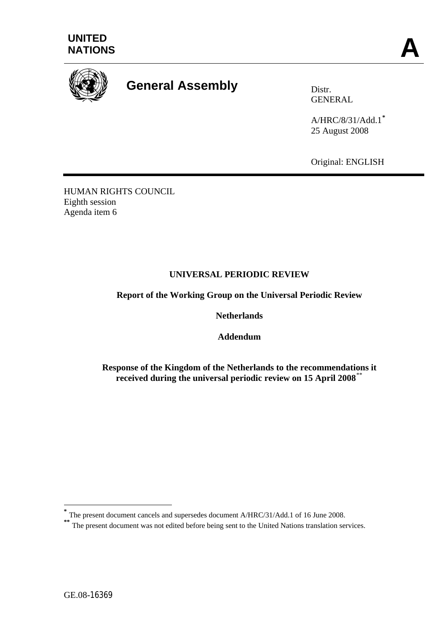



# **General Assembly** Distr.

GENERAL

A/HRC/8/31/Add.1**[\\*](#page-0-0)** 25 August 2008

Original: ENGLISH

HUMAN RIGHTS COUNCIL Eighth session Agenda item 6

# **UNIVERSAL PERIODIC REVIEW**

**Report of the Working Group on the Universal Periodic Review** 

**Netherlands** 

**Addendum** 

**Response of the Kingdom of the Netherlands to the recommendations it received during the universal periodic review on 15 April 2008**[\\*\\*](#page-0-1)

1

<span id="page-0-0"></span>**<sup>\*</sup>** The present document cancels and supersedes document A/HRC/31/Add.1 of 16 June 2008.

<span id="page-0-1"></span>**<sup>\*\*</sup>** The present document vas not edited before being sent to the United Nations translation services.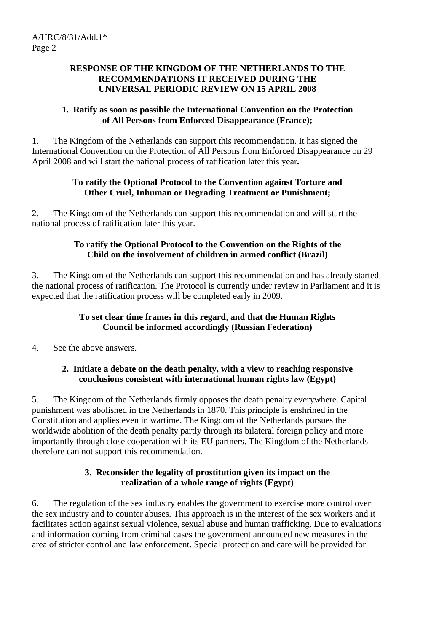#### **RESPONSE OF THE KINGDOM OF THE NETHERLANDS TO THE RECOMMENDATIONS IT RECEIVED DURING THE UNIVERSAL PERIODIC REVIEW ON 15 APRIL 2008**

## **1. Ratify as soon as possible the International Convention on the Protection of All Persons from Enforced Disappearance (France);**

1. The Kingdom of the Netherlands can support this recommendation. It has signed the International Convention on the Protection of All Persons from Enforced Disappearance on 29 April 2008 and will start the national process of ratification later this year**.**

## **To ratify the Optional Protocol to the Convention against Torture and Other Cruel, Inhuman or Degrading Treatment or Punishment;**

2. The Kingdom of the Netherlands can support this recommendation and will start the national process of ratification later this year.

## **To ratify the Optional Protocol to the Convention on the Rights of the Child on the involvement of children in armed conflict (Brazil)**

3. The Kingdom of the Netherlands can support this recommendation and has already started the national process of ratification. The Protocol is currently under review in Parliament and it is expected that the ratification process will be completed early in 2009.

## **To set clear time frames in this regard, and that the Human Rights Council be informed accordingly (Russian Federation)**

4. See the above answers.

## **2. Initiate a debate on the death penalty, with a view to reaching responsive conclusions consistent with international human rights law (Egypt)**

5. The Kingdom of the Netherlands firmly opposes the death penalty everywhere. Capital punishment was abolished in the Netherlands in 1870. This principle is enshrined in the Constitution and applies even in wartime. The Kingdom of the Netherlands pursues the worldwide abolition of the death penalty partly through its bilateral foreign policy and more importantly through close cooperation with its EU partners. The Kingdom of the Netherlands therefore can not support this recommendation.

## **3. Reconsider the legality of prostitution given its impact on the realization of a whole range of rights (Egypt)**

6. The regulation of the sex industry enables the government to exercise more control over the sex industry and to counter abuses. This approach is in the interest of the sex workers and it facilitates action against sexual violence, sexual abuse and human trafficking. Due to evaluations and information coming from criminal cases the government announced new measures in the area of stricter control and law enforcement. Special protection and care will be provided for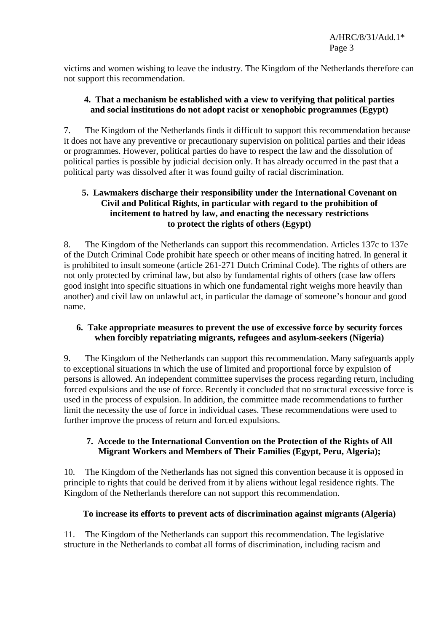victims and women wishing to leave the industry. The Kingdom of the Netherlands therefore can not support this recommendation.

## **4. That a mechanism be established with a view to verifying that political parties and social institutions do not adopt racist or xenophobic programmes (Egypt)**

7. The Kingdom of the Netherlands finds it difficult to support this recommendation because it does not have any preventive or precautionary supervision on political parties and their ideas or programmes. However, political parties do have to respect the law and the dissolution of political parties is possible by judicial decision only. It has already occurred in the past that a political party was dissolved after it was found guilty of racial discrimination.

## **5. Lawmakers discharge their responsibility under the International Covenant on Civil and Political Rights, in particular with regard to the prohibition of incitement to hatred by law, and enacting the necessary restrictions to protect the rights of others (Egypt)**

8. The Kingdom of the Netherlands can support this recommendation. Articles 137c to 137e of the Dutch Criminal Code prohibit hate speech or other means of inciting hatred. In general it is prohibited to insult someone (article 261-271 Dutch Criminal Code). The rights of others are not only protected by criminal law, but also by fundamental rights of others (case law offers good insight into specific situations in which one fundamental right weighs more heavily than another) and civil law on unlawful act, in particular the damage of someone's honour and good name.

## **6. Take appropriate measures to prevent the use of excessive force by security forces when forcibly repatriating migrants, refugees and asylum-seekers (Nigeria)**

9. The Kingdom of the Netherlands can support this recommendation. Many safeguards apply to exceptional situations in which the use of limited and proportional force by expulsion of persons is allowed. An independent committee supervises the process regarding return, including forced expulsions and the use of force. Recently it concluded that no structural excessive force is used in the process of expulsion. In addition, the committee made recommendations to further limit the necessity the use of force in individual cases. These recommendations were used to further improve the process of return and forced expulsions.

# **7. Accede to the International Convention on the Protection of the Rights of All Migrant Workers and Members of Their Families (Egypt, Peru, Algeria);**

10. The Kingdom of the Netherlands has not signed this convention because it is opposed in principle to rights that could be derived from it by aliens without legal residence rights. The Kingdom of the Netherlands therefore can not support this recommendation.

# **To increase its efforts to prevent acts of discrimination against migrants (Algeria)**

11. The Kingdom of the Netherlands can support this recommendation. The legislative structure in the Netherlands to combat all forms of discrimination, including racism and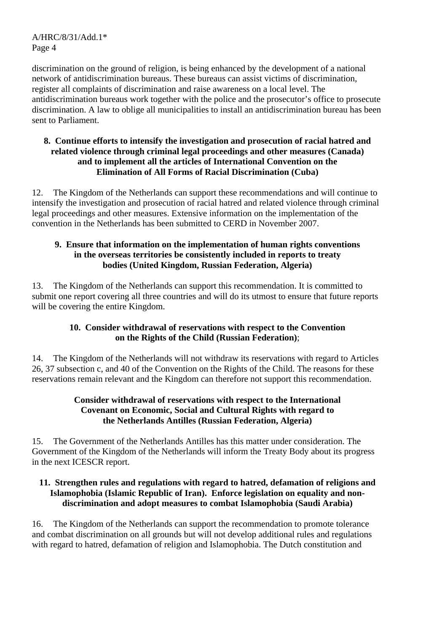discrimination on the ground of religion, is being enhanced by the development of a national network of antidiscrimination bureaus. These bureaus can assist victims of discrimination, register all complaints of discrimination and raise awareness on a local level. The antidiscrimination bureaus work together with the police and the prosecutor's office to prosecute discrimination. A law to oblige all municipalities to install an antidiscrimination bureau has been sent to Parliament.

#### **8. Continue efforts to intensify the investigation and prosecution of racial hatred and related violence through criminal legal proceedings and other measures (Canada) and to implement all the articles of International Convention on the Elimination of All Forms of Racial Discrimination (Cuba)**

12. The Kingdom of the Netherlands can support these recommendations and will continue to intensify the investigation and prosecution of racial hatred and related violence through criminal legal proceedings and other measures. Extensive information on the implementation of the convention in the Netherlands has been submitted to CERD in November 2007.

## **9. Ensure that information on the implementation of human rights conventions in the overseas territories be consistently included in reports to treaty bodies (United Kingdom, Russian Federation, Algeria)**

13. The Kingdom of the Netherlands can support this recommendation. It is committed to submit one report covering all three countries and will do its utmost to ensure that future reports will be covering the entire Kingdom.

# **10. Consider withdrawal of reservations with respect to the Convention on the Rights of the Child (Russian Federation)**;

14. The Kingdom of the Netherlands will not withdraw its reservations with regard to Articles 26, 37 subsection c, and 40 of the Convention on the Rights of the Child. The reasons for these reservations remain relevant and the Kingdom can therefore not support this recommendation.

## **Consider withdrawal of reservations with respect to the International Covenant on Economic, Social and Cultural Rights with regard to the Netherlands Antilles (Russian Federation, Algeria)**

15. The Government of the Netherlands Antilles has this matter under consideration. The Government of the Kingdom of the Netherlands will inform the Treaty Body about its progress in the next ICESCR report.

## **11. Strengthen rules and regulations with regard to hatred, defamation of religions and Islamophobia (Islamic Republic of Iran). Enforce legislation on equality and nondiscrimination and adopt measures to combat Islamophobia (Saudi Arabia)**

16. The Kingdom of the Netherlands can support the recommendation to promote tolerance and combat discrimination on all grounds but will not develop additional rules and regulations with regard to hatred, defamation of religion and Islamophobia. The Dutch constitution and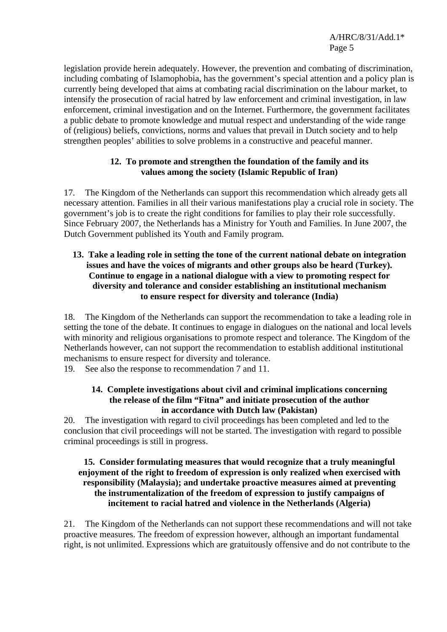legislation provide herein adequately. However, the prevention and combating of discrimination, including combating of Islamophobia, has the government's special attention and a policy plan is currently being developed that aims at combating racial discrimination on the labour market, to intensify the prosecution of racial hatred by law enforcement and criminal investigation, in law enforcement, criminal investigation and on the Internet. Furthermore, the government facilitates a public debate to promote knowledge and mutual respect and understanding of the wide range of (religious) beliefs, convictions, norms and values that prevail in Dutch society and to help strengthen peoples' abilities to solve problems in a constructive and peaceful manner.

## **12. To promote and strengthen the foundation of the family and its values among the society (Islamic Republic of Iran)**

17. The Kingdom of the Netherlands can support this recommendation which already gets all necessary attention. Families in all their various manifestations play a crucial role in society. The government's job is to create the right conditions for families to play their role successfully. Since February 2007, the Netherlands has a Ministry for Youth and Families. In June 2007, the Dutch Government published its Youth and Family program.

#### **13. Take a leading role in setting the tone of the current national debate on integration issues and have the voices of migrants and other groups also be heard (Turkey). Continue to engage in a national dialogue with a view to promoting respect for diversity and tolerance and consider establishing an institutional mechanism to ensure respect for diversity and tolerance (India)**

18. The Kingdom of the Netherlands can support the recommendation to take a leading role in setting the tone of the debate. It continues to engage in dialogues on the national and local levels with minority and religious organisations to promote respect and tolerance. The Kingdom of the Netherlands however, can not support the recommendation to establish additional institutional mechanisms to ensure respect for diversity and tolerance.

19. See also the response to recommendation 7 and 11.

## **14. Complete investigations about civil and criminal implications concerning the release of the film "Fitna" and initiate prosecution of the author in accordance with Dutch law (Pakistan)**

20. The investigation with regard to civil proceedings has been completed and led to the conclusion that civil proceedings will not be started. The investigation with regard to possible criminal proceedings is still in progress.

#### **15. Consider formulating measures that would recognize that a truly meaningful enjoyment of the right to freedom of expression is only realized when exercised with responsibility (Malaysia); and undertake proactive measures aimed at preventing the instrumentalization of the freedom of expression to justify campaigns of incitement to racial hatred and violence in the Netherlands (Algeria)**

21. The Kingdom of the Netherlands can not support these recommendations and will not take proactive measures. The freedom of expression however, although an important fundamental right, is not unlimited. Expressions which are gratuitously offensive and do not contribute to the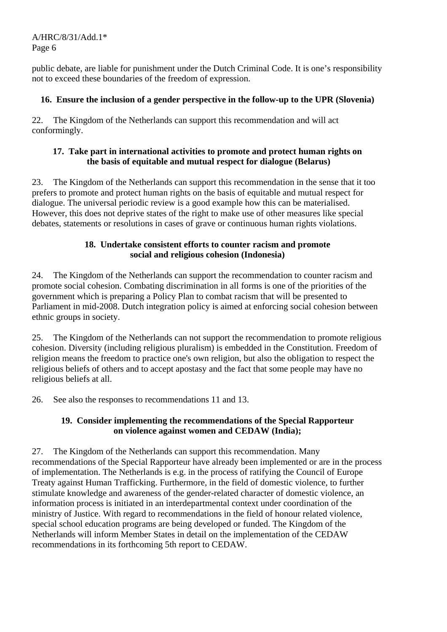public debate, are liable for punishment under the Dutch Criminal Code. It is one's responsibility not to exceed these boundaries of the freedom of expression.

## **16. Ensure the inclusion of a gender perspective in the follow-up to the UPR (Slovenia)**

22. The Kingdom of the Netherlands can support this recommendation and will act conformingly.

#### **17. Take part in international activities to promote and protect human rights on the basis of equitable and mutual respect for dialogue (Belarus)**

23. The Kingdom of the Netherlands can support this recommendation in the sense that it too prefers to promote and protect human rights on the basis of equitable and mutual respect for dialogue. The universal periodic review is a good example how this can be materialised. However, this does not deprive states of the right to make use of other measures like special debates, statements or resolutions in cases of grave or continuous human rights violations.

## **18. Undertake consistent efforts to counter racism and promote social and religious cohesion (Indonesia)**

24. The Kingdom of the Netherlands can support the recommendation to counter racism and promote social cohesion. Combating discrimination in all forms is one of the priorities of the government which is preparing a Policy Plan to combat racism that will be presented to Parliament in mid-2008. Dutch integration policy is aimed at enforcing social cohesion between ethnic groups in society.

25. The Kingdom of the Netherlands can not support the recommendation to promote religious cohesion. Diversity (including religious pluralism) is embedded in the Constitution. Freedom of religion means the freedom to practice one's own religion, but also the obligation to respect the religious beliefs of others and to accept apostasy and the fact that some people may have no religious beliefs at all.

26. See also the responses to recommendations 11 and 13.

## **19. Consider implementing the recommendations of the Special Rapporteur on violence against women and CEDAW (India);**

27. The Kingdom of the Netherlands can support this recommendation. Many recommendations of the Special Rapporteur have already been implemented or are in the process of implementation. The Netherlands is e.g. in the process of ratifying the Council of Europe Treaty against Human Trafficking. Furthermore, in the field of domestic violence, to further stimulate knowledge and awareness of the gender-related character of domestic violence, an information process is initiated in an interdepartmental context under coordination of the ministry of Justice. With regard to recommendations in the field of honour related violence, special school education programs are being developed or funded. The Kingdom of the Netherlands will inform Member States in detail on the implementation of the CEDAW recommendations in its forthcoming 5th report to CEDAW.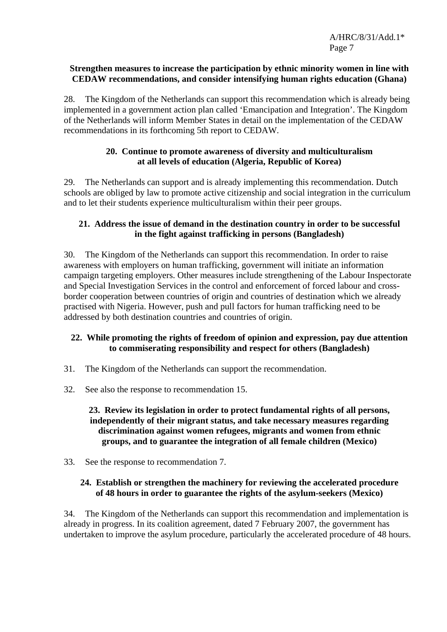#### **Strengthen measures to increase the participation by ethnic minority women in line with CEDAW recommendations, and consider intensifying human rights education (Ghana)**

28. The Kingdom of the Netherlands can support this recommendation which is already being implemented in a government action plan called 'Emancipation and Integration'. The Kingdom of the Netherlands will inform Member States in detail on the implementation of the CEDAW recommendations in its forthcoming 5th report to CEDAW.

#### **20. Continue to promote awareness of diversity and multiculturalism at all levels of education (Algeria, Republic of Korea)**

29. The Netherlands can support and is already implementing this recommendation. Dutch schools are obliged by law to promote active citizenship and social integration in the curriculum and to let their students experience multiculturalism within their peer groups.

## **21. Address the issue of demand in the destination country in order to be successful in the fight against trafficking in persons (Bangladesh)**

30. The Kingdom of the Netherlands can support this recommendation. In order to raise awareness with employers on human trafficking, government will initiate an information campaign targeting employers. Other measures include strengthening of the Labour Inspectorate and Special Investigation Services in the control and enforcement of forced labour and crossborder cooperation between countries of origin and countries of destination which we already practised with Nigeria. However, push and pull factors for human trafficking need to be addressed by both destination countries and countries of origin.

## **22. While promoting the rights of freedom of opinion and expression, pay due attention to commiserating responsibility and respect for others (Bangladesh)**

- 31. The Kingdom of the Netherlands can support the recommendation.
- 32. See also the response to recommendation 15.

#### **23. Review its legislation in order to protect fundamental rights of all persons, independently of their migrant status, and take necessary measures regarding discrimination against women refugees, migrants and women from ethnic groups, and to guarantee the integration of all female children (Mexico)**

33. See the response to recommendation 7.

#### **24. Establish or strengthen the machinery for reviewing the accelerated procedure of 48 hours in order to guarantee the rights of the asylum-seekers (Mexico)**

34. The Kingdom of the Netherlands can support this recommendation and implementation is already in progress. In its coalition agreement, dated 7 February 2007, the government has undertaken to improve the asylum procedure, particularly the accelerated procedure of 48 hours.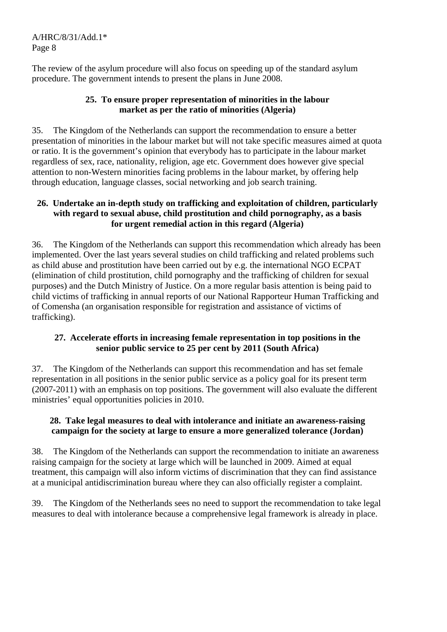The review of the asylum procedure will also focus on speeding up of the standard asylum procedure. The government intends to present the plans in June 2008.

#### **25. To ensure proper representation of minorities in the labour market as per the ratio of minorities (Algeria)**

35. The Kingdom of the Netherlands can support the recommendation to ensure a better presentation of minorities in the labour market but will not take specific measures aimed at quota or ratio. It is the government's opinion that everybody has to participate in the labour market regardless of sex, race, nationality, religion, age etc. Government does however give special attention to non-Western minorities facing problems in the labour market, by offering help through education, language classes, social networking and job search training.

## **26. Undertake an in-depth study on trafficking and exploitation of children, particularly with regard to sexual abuse, child prostitution and child pornography, as a basis for urgent remedial action in this regard (Algeria)**

36. The Kingdom of the Netherlands can support this recommendation which already has been implemented. Over the last years several studies on child trafficking and related problems such as child abuse and prostitution have been carried out by e.g. the international NGO ECPAT (elimination of child prostitution, child pornography and the trafficking of children for sexual purposes) and the Dutch Ministry of Justice. On a more regular basis attention is being paid to child victims of trafficking in annual reports of our National Rapporteur Human Trafficking and of Comensha (an organisation responsible for registration and assistance of victims of trafficking).

# **27. Accelerate efforts in increasing female representation in top positions in the senior public service to 25 per cent by 2011 (South Africa)**

37. The Kingdom of the Netherlands can support this recommendation and has set female representation in all positions in the senior public service as a policy goal for its present term (2007-2011) with an emphasis on top positions. The government will also evaluate the different ministries' equal opportunities policies in 2010.

## **28. Take legal measures to deal with intolerance and initiate an awareness-raising campaign for the society at large to ensure a more generalized tolerance (Jordan)**

38. The Kingdom of the Netherlands can support the recommendation to initiate an awareness raising campaign for the society at large which will be launched in 2009. Aimed at equal treatment, this campaign will also inform victims of discrimination that they can find assistance at a municipal antidiscrimination bureau where they can also officially register a complaint.

39. The Kingdom of the Netherlands sees no need to support the recommendation to take legal measures to deal with intolerance because a comprehensive legal framework is already in place.